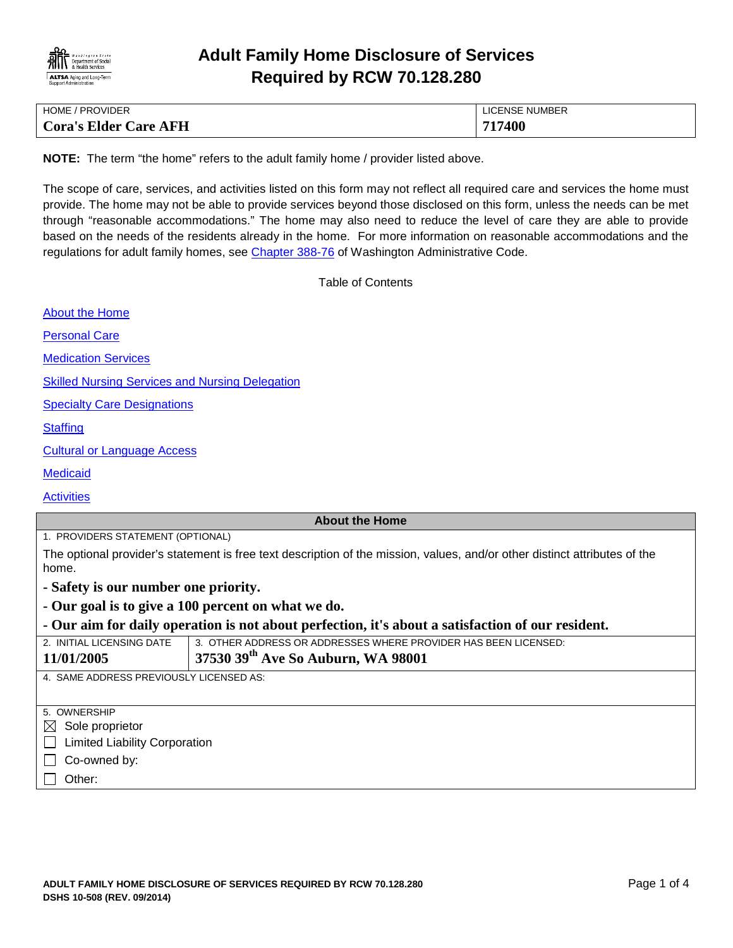

# **Adult Family Home Disclosure of Services Required by RCW 70.128.280**

| HOME / PROVIDER              | LICENSE NUMBER |
|------------------------------|----------------|
| <b>Cora's Elder Care AFH</b> | 717400         |

**NOTE:** The term "the home" refers to the adult family home / provider listed above.

The scope of care, services, and activities listed on this form may not reflect all required care and services the home must provide. The home may not be able to provide services beyond those disclosed on this form, unless the needs can be met through "reasonable accommodations." The home may also need to reduce the level of care they are able to provide based on the needs of the residents already in the home. For more information on reasonable accommodations and the regulations for adult family homes, see [Chapter 388-76](http://apps.leg.wa.gov/WAC/default.aspx?cite=388-76) of Washington Administrative Code.

<span id="page-0-0"></span>Table of Contents

| <b>About the Home</b>                                                                                                               |                                                                 |
|-------------------------------------------------------------------------------------------------------------------------------------|-----------------------------------------------------------------|
| <b>Personal Care</b>                                                                                                                |                                                                 |
| <b>Medication Services</b>                                                                                                          |                                                                 |
| <b>Skilled Nursing Services and Nursing Delegation</b>                                                                              |                                                                 |
| <b>Specialty Care Designations</b>                                                                                                  |                                                                 |
| <b>Staffing</b>                                                                                                                     |                                                                 |
| <b>Cultural or Language Access</b>                                                                                                  |                                                                 |
| <b>Medicaid</b>                                                                                                                     |                                                                 |
| <b>Activities</b>                                                                                                                   |                                                                 |
|                                                                                                                                     | <b>About the Home</b>                                           |
| 1. PROVIDERS STATEMENT (OPTIONAL)                                                                                                   |                                                                 |
| The optional provider's statement is free text description of the mission, values, and/or other distinct attributes of the<br>home. |                                                                 |
| - Safety is our number one priority.                                                                                                |                                                                 |
|                                                                                                                                     | - Our goal is to give a 100 percent on what we do.              |
| - Our aim for daily operation is not about perfection, it's about a satisfaction of our resident.                                   |                                                                 |
| 2. INITIAL LICENSING DATE                                                                                                           | 3. OTHER ADDRESS OR ADDRESSES WHERE PROVIDER HAS BEEN LICENSED: |
| 11/01/2005                                                                                                                          | 37530 39th Ave So Auburn, WA 98001                              |
| 4. SAME ADDRESS PREVIOUSLY LICENSED AS:                                                                                             |                                                                 |
|                                                                                                                                     |                                                                 |
| 5. OWNERSHIP                                                                                                                        |                                                                 |
| Sole proprietor<br>$\boxtimes$                                                                                                      |                                                                 |
| <b>Limited Liability Corporation</b>                                                                                                |                                                                 |
| Co-owned by:                                                                                                                        |                                                                 |
| Other:                                                                                                                              |                                                                 |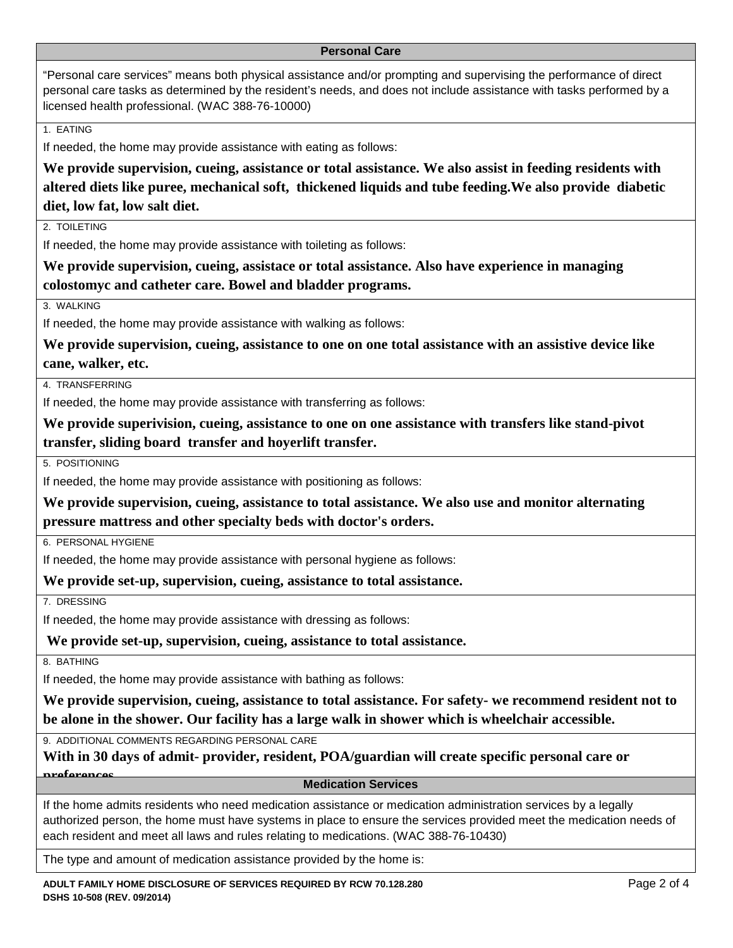#### <span id="page-1-0"></span>**Personal Care**

"Personal care services" means both physical assistance and/or prompting and supervising the performance of direct personal care tasks as determined by the resident's needs, and does not include assistance with tasks performed by a licensed health professional. (WAC 388-76-10000)

1. EATING

If needed, the home may provide assistance with eating as follows:

**We provide supervision, cueing, assistance or total assistance. We also assist in feeding residents with altered diets like puree, mechanical soft, thickened liquids and tube feeding.We also provide diabetic diet, low fat, low salt diet.**

2. TOIL FTING

If needed, the home may provide assistance with toileting as follows:

**We provide supervision, cueing, assistace or total assistance. Also have experience in managing colostomyc and catheter care. Bowel and bladder programs.**

3. WALKING

If needed, the home may provide assistance with walking as follows:

**We provide supervision, cueing, assistance to one on one total assistance with an assistive device like cane, walker, etc.** 

4. TRANSFERRING

If needed, the home may provide assistance with transferring as follows:

**We provide superivision, cueing, assistance to one on one assistance with transfers like stand-pivot transfer, sliding board transfer and hoyerlift transfer.**

5. POSITIONING

If needed, the home may provide assistance with positioning as follows:

**We provide supervision, cueing, assistance to total assistance. We also use and monitor alternating pressure mattress and other specialty beds with doctor's orders.**

6. PERSONAL HYGIENE

If needed, the home may provide assistance with personal hygiene as follows:

**We provide set-up, supervision, cueing, assistance to total assistance.**

7. DRESSING

If needed, the home may provide assistance with dressing as follows:

**We provide set-up, supervision, cueing, assistance to total assistance.** 

8. BATHING

If needed, the home may provide assistance with bathing as follows:

**We provide supervision, cueing, assistance to total assistance. For safety- we recommend resident not to be alone in the shower. Our facility has a large walk in shower which is wheelchair accessible.**

9. ADDITIONAL COMMENTS REGARDING PERSONAL CARE

**With in 30 days of admit- provider, resident, POA/guardian will create specific personal care or** 

# <span id="page-1-1"></span>**preferences Medication Services**

If the home admits residents who need medication assistance or medication administration services by a legally authorized person, the home must have systems in place to ensure the services provided meet the medication needs of each resident and meet all laws and rules relating to medications. (WAC 388-76-10430)

The type and amount of medication assistance provided by the home is: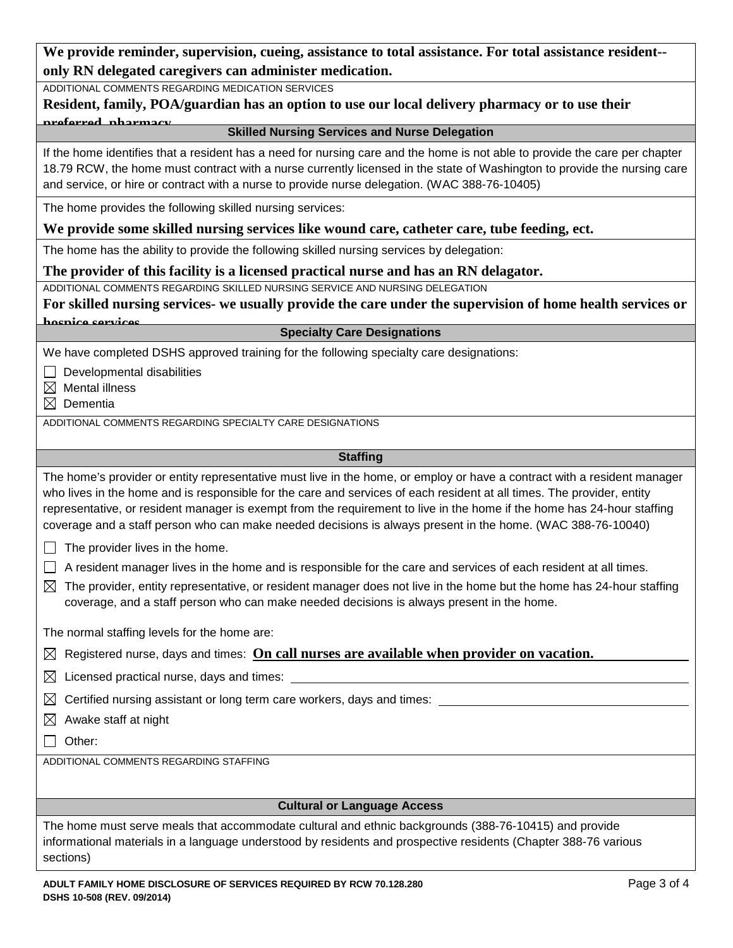| We provide reminder, supervision, cueing, assistance to total assistance. For total assistance resident-- |
|-----------------------------------------------------------------------------------------------------------|
| only RN delegated caregivers can administer medication.                                                   |

ADDITIONAL COMMENTS REGARDING MEDICATION SERVICES

**Resident, family, POA/guardian has an option to use our local delivery pharmacy or to use their preferred pharmacy Skilled Nursing Services and Nurse Delegation**

If the home identifies that a resident has a need for nursing care and the home is not able to provide the care per chapter 18.79 RCW, the home must contract with a nurse currently licensed in the state of Washington to provide the nursing care and service, or hire or contract with a nurse to provide nurse delegation. (WAC 388-76-10405)

The home provides the following skilled nursing services:

## **We provide some skilled nursing services like wound care, catheter care, tube feeding, ect.**

The home has the ability to provide the following skilled nursing services by delegation:

### **The provider of this facility is a licensed practical nurse and has an RN delagator.**

ADDITIONAL COMMENTS REGARDING SKILLED NURSING SERVICE AND NURSING DELEGATION

**For skilled nursing services- we usually provide the care under the supervision of home health services or** 

# **hospice services Specialty Care Designations**

We have completed DSHS approved training for the following specialty care designations:

 $\Box$  Developmental disabilities

 $\boxtimes$  Mental illness

 $\boxtimes$  Dementia

ADDITIONAL COMMENTS REGARDING SPECIALTY CARE DESIGNATIONS

### <span id="page-2-2"></span><span id="page-2-1"></span><span id="page-2-0"></span>**Staffing**

The home's provider or entity representative must live in the home, or employ or have a contract with a resident manager who lives in the home and is responsible for the care and services of each resident at all times. The provider, entity representative, or resident manager is exempt from the requirement to live in the home if the home has 24-hour staffing coverage and a staff person who can make needed decisions is always present in the home. (WAC 388-76-10040)

 $\Box$  The provider lives in the home.

 $\Box$  A resident manager lives in the home and is responsible for the care and services of each resident at all times.

 $\boxtimes$  The provider, entity representative, or resident manager does not live in the home but the home has 24-hour staffing coverage, and a staff person who can make needed decisions is always present in the home.

The normal staffing levels for the home are:

| $\boxtimes$ Registered nurse, days and times: On call nurses are available when provider on vacation. |
|-------------------------------------------------------------------------------------------------------|
|-------------------------------------------------------------------------------------------------------|

 $\boxtimes$  Licensed practical nurse, days and times:

 $\boxtimes$  Certified nursing assistant or long term care workers, days and times:

 $\boxtimes$  Awake staff at night

 $\Box$  Other:

ADDITIONAL COMMENTS REGARDING STAFFING

# <span id="page-2-3"></span>**Cultural or Language Access**

The home must serve meals that accommodate cultural and ethnic backgrounds (388-76-10415) and provide informational materials in a language understood by residents and prospective residents (Chapter 388-76 various sections)